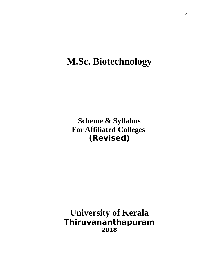# **M.Sc. Biotechnology**

**Scheme & Syllabus For Affiliated Colleges (Revised)** 

**University of Kerala Thiruvananthapuram 2018**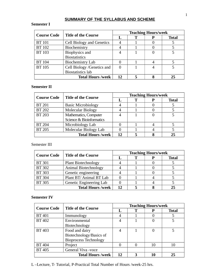### **SUMMARY OF THE SYLLABUS AND SCHEME**

### **Semester I**

| <b>Title of the Course</b><br><b>Course Code</b> |                                  | <b>Teaching Hours/week</b> |  |  |              |  |
|--------------------------------------------------|----------------------------------|----------------------------|--|--|--------------|--|
|                                                  |                                  | T.                         |  |  | <b>Total</b> |  |
| <b>BT</b> 101                                    | <b>Cell Biology and Genetics</b> |                            |  |  |              |  |
| <b>BT 102</b>                                    | Biochemistry                     |                            |  |  |              |  |
| <b>BT 103</b>                                    | <b>Biophysics and</b>            |                            |  |  |              |  |
|                                                  | <b>Biostatistics</b>             |                            |  |  |              |  |
| <b>BT</b> 104                                    | <b>Biochemistry Lab</b>          |                            |  |  |              |  |
| <b>BT 105</b>                                    | Cell Biology /Genetics and       |                            |  |  |              |  |
|                                                  | <b>Biostatistics lab</b>         |                            |  |  |              |  |
|                                                  | <b>Total Hours/week</b>          | 12                         |  |  |              |  |

### **Semester II**

| <b>Course Code</b>                     | <b>Title of the Course</b> |    | <b>Teaching Hours/week</b> |              |  |
|----------------------------------------|----------------------------|----|----------------------------|--------------|--|
|                                        |                            |    |                            | <b>Total</b> |  |
| <b>BT 201</b>                          | <b>Basic Microbiology</b>  |    |                            |              |  |
| <b>BT 202</b>                          | <b>Molecular Biology</b>   |    |                            |              |  |
| <b>BT 203</b>                          | Mathematics, Computer      |    |                            |              |  |
|                                        | Science & Bioinformatics   |    |                            |              |  |
| <b>BT 204</b>                          | Microbiology Lab           |    |                            |              |  |
| <b>BT 205</b><br>Molecular Biology Lab |                            |    |                            |              |  |
|                                        | <b>Total Hours/week</b>    | 12 |                            | つら           |  |

### Semester III

| <b>Course Code</b> | <b>Title of the Course</b> | <b>Teaching Hours/week</b> |  |  |              |  |
|--------------------|----------------------------|----------------------------|--|--|--------------|--|
|                    |                            |                            |  |  | <b>Total</b> |  |
| <b>BT 301</b>      | <b>Plant Biotechnology</b> |                            |  |  |              |  |
| <b>BT 302</b>      | Animal Biotechnology       |                            |  |  |              |  |
| <b>BT 303</b>      | Genetic engineering        |                            |  |  |              |  |
| <b>BT 304</b>      | Plant BT/ Animal BT Lab    |                            |  |  |              |  |
| <b>BT 305</b>      | Genetic Engineering Lab    |                            |  |  |              |  |
|                    | <b>Total Hours/week</b>    | 17                         |  |  |              |  |

### **Semester IV**

| <b>Course Code</b>                   | <b>Title of the Course</b>   | <b>Teaching Hours/week</b> |  |    |              |
|--------------------------------------|------------------------------|----------------------------|--|----|--------------|
|                                      |                              |                            |  | р  | <b>Total</b> |
| <b>BT</b> 401                        | Immunology                   |                            |  |    |              |
| <b>BT 402</b>                        | Environmental                |                            |  |    |              |
|                                      | Biotechnology                |                            |  |    |              |
| <b>BT 403</b>                        | Food and dairy               |                            |  |    |              |
|                                      | Biotechnology/Basics of      |                            |  |    |              |
|                                      | <b>Bioprocess Technology</b> |                            |  |    |              |
| <b>BT 404</b>                        | Project                      |                            |  | 10 |              |
| <b>BT 405</b><br>General Viva - voce |                              |                            |  |    |              |
|                                      | <b>Total Hours /week</b>     | 12                         |  |    | 25           |

L –Lecture, T- Tutorial, P-Practical Total Number of Hours /week-25 hrs.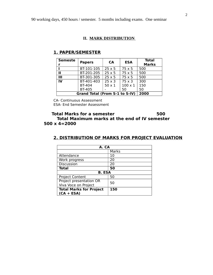### **II. MARK DISTRIBUTION**

| <b>Semeste</b><br>r            | <b>Papers</b> | <b>CA</b>                | <b>ESA</b>     | <b>Total</b><br><b>Marks</b> |
|--------------------------------|---------------|--------------------------|----------------|------------------------------|
|                                | BT-101-105    | $25 \times 5$            | $75 \times 5$  | 500                          |
| п                              | BT-201-205    | $25 \times 5$            | $75 \times 5$  | 500                          |
| $\mathbf{H}$                   | BT-301-305    | $25 \times 5$            | $75 \times 5$  | 500                          |
| IV                             | BT-401-403    | $\overline{2}5 \times 3$ | $75 \times 3$  | 300                          |
|                                | <b>BT-404</b> | $50 \times 1$            | $100 \times 1$ | 150                          |
|                                | <b>BT-405</b> |                          | 50             | 50                           |
| Grand Total (From S-1 to S-IV) | 2000          |                          |                |                              |

### **1. PAPER/SEMESTER**

CA- Continuous Assessment ESA- End Semester Assessment

### **Total Marks for a semester 500 Total Maximum marks at the end of IV semester 500 x 4=2000**

### **2. DISTRIBUTION OF MARKS FOR PROJECT EVALUATION**

| A. CA                          |       |  |  |  |
|--------------------------------|-------|--|--|--|
|                                | Marks |  |  |  |
| Attendance                     | 10    |  |  |  |
| Work progress                  | 20    |  |  |  |
| Discussion                     | 20    |  |  |  |
| <b>Total</b>                   | 50    |  |  |  |
| B. ESA                         |       |  |  |  |
| <b>Project Content</b>         | 50    |  |  |  |
| Project presentation OR        | 50    |  |  |  |
| Viva Voce on Project           |       |  |  |  |
| <b>Total Marks for Project</b> | 150   |  |  |  |
| $(CA + ESA)$                   |       |  |  |  |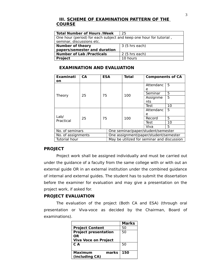### **III. SCHEME OF EXAMINATION PATTERN OF THE COURSE**

| <b>Total Number of Hours /Week</b>                                 | 25                      |  |
|--------------------------------------------------------------------|-------------------------|--|
| One hour (period) for each subject and keep one hour for tutorial, |                         |  |
| seminar, discussions etc.                                          |                         |  |
| <b>Number of theory</b>                                            | $3(5 \text{ hrs each})$ |  |
| papers/semester and duration                                       |                         |  |
| <b>Number of Lab /Practicals</b>                                   | $2(5 \text{ hrs each})$ |  |
| <b>Project</b>                                                     | 10 hours                |  |

### **EXAMINATION AND EVALUATION**

| <b>Examinati</b><br>on | <b>CA</b> | <b>ESA</b> |                                            | <b>Total</b> | <b>Components of CA</b> |    |
|------------------------|-----------|------------|--------------------------------------------|--------------|-------------------------|----|
|                        |           |            |                                            |              | Attendanc               | 5  |
|                        |           |            |                                            |              | e                       |    |
| Theory                 | 25        | 75         |                                            | 100          | Seminar                 | 5  |
|                        |           |            |                                            |              | 5<br>Assignme           |    |
|                        |           |            |                                            |              | nts                     |    |
|                        |           |            |                                            |              | Test                    | 10 |
|                        |           |            |                                            |              | Attendanc               | 5  |
|                        |           |            |                                            |              | e                       |    |
| Lab/                   | 25        | 75         |                                            | 100          | Record                  | 5  |
| Practical              |           |            |                                            |              | Test                    | 10 |
|                        |           |            |                                            |              | Viva                    | 5  |
| No. of seminars        |           |            | One seminar/paper/student/semester         |              |                         |    |
| No. of assignments     |           |            | One assignment/paper/student/semester      |              |                         |    |
| Tutorial hour          |           |            | May be utilized for seminar and discussion |              |                         |    |

### **PROJECT**

Project work shall be assigned individually and must be carried out under the guidance of a faculty from the same college with or with out an external guide OR in an external institution under the combined guidance of internal and external guides. The student has to submit the dissertation before the examiner for evaluation and may give a presentation on the project work, if asked for.

### **PROJECT EVALUATION**

The evaluation of the project (Both CA and ESA) (through oral presentation or Viva-voce as decided by the Chairman, Board of examinations).

|                             | <b>Marks</b> |
|-----------------------------|--------------|
| <b>Project Content</b>      | 50           |
| <b>Project presentation</b> | 50           |
| 0R                          |              |
| <b>Viva Voce on Project</b> |              |
| C A                         | 50           |
|                             |              |
| <b>Maximum</b><br>marks     | 150          |
| (including CA)              |              |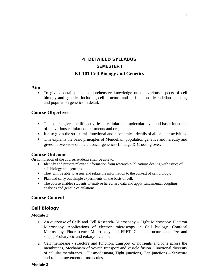# **4. DETAILED SYLLABUS SEMESTER I BT 101 Cell Biology and Genetics**

#### **Aim**

 To give a detailed and comprehensive knowledge on the various aspects of cell biology and genetics including cell structure and its functions, Mendelian genetics, and population genetics in detail.

### **Course Objectives**

- The course gives the life activities at cellular and molecular level and basic functions of the various cellular compartments and organelles.
- It also gives the structural- functional and biochemical details of all cellular activities.
- This explains the basic principles of Mendelian, population genetics and heredity and gives an overview on the classical genetics- Linkage & Crossing over.

#### **Course Outcome**

On completion of the course, students shall be able to,

- Identify and present relevant information from research publications dealing with issues of cell biology and genetics.
- They will be able to assess and relate the information to the context of cell biology.
- Plan and carry out simple experiments on the basis of cell.
- The course enables students to analyse hereditary data and apply fundamental coupling analyses and genetic calculations.

#### **Course Content**

### **Cell Biology**

#### **Module 1**

- 1. An overview of Cells and Cell Research- Microscopy Light Microscopy, Electron Microscopy, Applications of electron microscopy in Cell biology. Confocal Microscopy, Fluorescence Microscopy and FRET. Cells - structure and size and shape, Prokaryotic and eukaryotic cells.
- 2. Cell membrane structure and function, transport of nutrients and ions across the membranes, Mechanism of vesicle transport and vesicle fusion. Functional diversity of cellular membranes. Plasmodesmata, Tight junctions, Gap junctions – Structure and role in movement of molecules.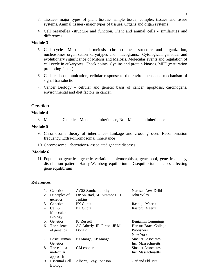- 3. Tissues- major types of plant tissues- simple tissue, complex tissues and tissue systems. Animal tissues- major types of tissues. Organs and organ systems
- 4. Cell organelles -structure and function. Plant and animal cells similarities and differences.

#### **Module 3**

- 5. Cell cycle- Mitosis and meiosis, chromosomes- structure and organization, nucleosomes organization karyotypes and ideograms. Cytological, genetical and evolutionary significance of Mitosis and Meiosis. Molecular events and regulation of cell cycle in eukaryotes. Check points, Cyclins and protein kinases, MPF (maturation promoting factor).
- 6. Cell -cell communication, cellular response to the environment, and mechanism of signal transduction.
- 7. Cancer Biology cellular and genetic basis of cancer, apoptosis, carcinogens, environmental and diet factors in cancer.

### **Genetics**

#### **Module 4**

8. Mendelian Genetics- Mendelian inheritance, Non-Mendelian inheritance

#### **Module 5**

- 9. Chromosome theory of inheritance- Linkage and crossing over. Recombination frequency. Extra-chromosomal inheritance
- 10. Chromosome aberrations- associated genetic diseases.

#### **Module 6**

11. Population genetics- genetic variation, polymorphism, gene pool, gene frequency, distribution pattern. Hardy-Weinberg equilibrium. Disequilibrium, factors affecting gene equilibrium

#### **References**

| 1. | <b>Genetics</b> | <b>AVSS Sambamoorthy</b>     | Narosa, New Delhi            |
|----|-----------------|------------------------------|------------------------------|
| 2. | Principles of   | DP Snustad, MJ Simmons JB    | John Wiley                   |
|    | genetics        | Jenkins                      |                              |
| 3. | <b>Genetics</b> | PK Gupta                     | Rastogi, Meerut              |
| 4. | Cell &          | PK Gupta                     | Rastogi, Meerut              |
|    | Molecular       |                              |                              |
|    | <b>Biology</b>  |                              |                              |
| 5. | <b>Genetics</b> | PJ Russell                   | Benjamin Cummings            |
| 6. | The science     | AG Atherly, JR Girton, JF Mc | <b>Harcurt Brace College</b> |
|    | of genetics     | Donald                       | Publishers                   |
|    |                 |                              | New York                     |
| 7. | Basic Human     | EJ Mange, AP Mange           | <b>Sinauer Associates</b>    |
|    | <b>Genetics</b> |                              | Inc, Massachusetts           |
| 8. | The cell $-a$   | GM cooper                    | <b>Sinauer Associates</b>    |
|    | molecular       |                              | Inc, Massachusetts           |
|    | approach        |                              |                              |
| 9. | Essential Cell  | Alberts, Bray, Johnson       | Garland Pbl. NY              |
|    | <b>Biology</b>  |                              |                              |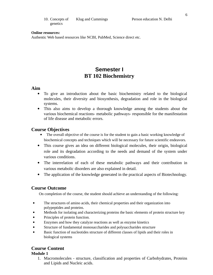| 10. Concepts of | Klug and Cummings |
|-----------------|-------------------|
| genetics        |                   |

#### **Online resources:**

Authentic Web based resources like NCBI, PubMed, Science direct etc.

# **Semester I BT 102 Biochemistry**

#### **Aim**

- To give an introduction about the basic biochemistry related to the biological molecules, their diversity and biosynthesis, degradation and role in the biological systems.
- This also aims to develop a thorough knowledge among the students about the various biochemical reactions- metabolic pathways- responsible for the manifestation of life disease and metabolic errors.

#### **Course Objectives**

- The overall objective of the course is for the student to gain a basic working knowledge of biochemical concepts and techniques which will be necessary for future scientific endeavors.
- This course gives an idea on different biological molecules, their origin, biological role and its degradation according to the needs and demand of the system under various conditions.
- The interrelation of each of these metabolic pathways and their contribution in various metabolic disorders are also explained in detail.
- The application of the knowledge generated in the practical aspects of Biotechnology.

#### **Course Outcome**

On completion of the course, the student should achieve an understanding of the following:

- The structures of amino acids, their chemical properties and their organization into polypeptides and proteins.
- Methods for isolating and characterizing proteins the basic elements of protein structure key
- Principles of protein function.
- Enzymes and how they catalyze reactions as well as enzyme kinetics
- Structure of fundamental monosaccharides and polysaccharides structure
- Basic function of nucleotides structure of different classes of lipids and their roles in biological systems

### **Course Content**

#### **Module 1**

1. Macromolecules - structure, classification and properties of Carbohydrates, Proteins and Lipids and Nucleic acids.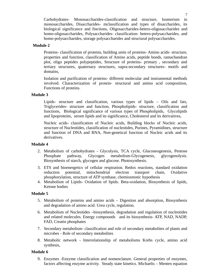Carbohydrates- Monosaccharides-classification and structure, Isomerism in monosaccharides, Disaccharides- mclassification and types of disaccharides, its biological significance and finctions, Oligosaccharides-hetero-oligosaccharides and homo-oligosaccharides, Polysaccharides- classification- hetero-polysaccharides, and homo-polysaccharides, storage polysaccharides and structural polysaccharides.

#### **Module 2**

Proteins- classification of proteins, building units of proteins- Amino acids- structure, properties and function, classification of Amino acids, peptide bonds, ramachandran plot, oligo peptides polypeptides, Structure of proteins- primary , secondary and tertiary structures, quaternary structures, supra-secondary structures- motifs and domains,

Isolation and purification of proteins- different molecular and instrumental methods involved. Characterization of protein- structural and amino acid composition, Functions of proteins.

#### **Module 3**

Lipids- structure and classification, various types of lipids – Oils and fats, Triglycerides- structure and function, Phospholipids- structure, classification and functions, Biological significance of various types of Phospholipids, Glycolipids and lipoproteins, serum lipids and its significance, Cholesterol and its derivatives,

Nucleic acids- classification of Nucleic acids, Building blocks of Nucleic acids, structure of Nucleotides, classification of nucleotides, Purines, Pyramidines, structure and function of DNA and RNA, Non-genetical function of Nucleic acids and its derivatives.

#### **Module 4**

- 2. Metabolism of carbohydrates Glycolysis, TCA cycle, Gluconeogenesis, Pentose Phosphate pathway, Glycogen metabolism-Glycogenesis, glycogenolysis. Biosynthesis of starch, glycogen and glucose. Photosynthesis.
- 3. ETS and bioenergetics of cellular respiration. Redox reactions, standard oxidation reduction potential, mitochondrial electron transport chain, Oxidative phosphorylation, structure of ATP synthase, chemiosmotic hypothesis
- 4. Metabolism of Lipids- Oxidation of lipids. Beta-oxidation, Biosynthesis of lipids, Ketone bodies

#### **Module 5**

- 5. Metabolism of proteins and amino acids Digestion and absorption, Biosynthesis and degradation of amino acid. Urea cycle, regulation.
- 6. Metabolism of Nucleotides –biosynthesis, degradation and regulation of nucleotides and related molecules. Energy compounds and its biosynthesis- ATP, NAD, NADP, FAD, Creatin phosphates
- 7. Secondary metabolism- classification and role of secondary metabolites of plants and microbes - Role of secondary metabolites
- 8. Metabolic network Interrelationship of metabolisms Krebs cycle, amino acid synthesis,

#### **Module 6**

9. Enzymes -Enzyme classification and nomenclature. General properties of enzymes, factors affecting enzyme activity. Steady state kinetics. Michaelis – Menten equation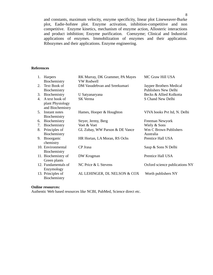and constants, maximum velocity, enzyme specificity, linear plot Lineweaver-Burke plot, Eadie-hofstee plot. Enzyme activation, inhibition-competitive and non competitive. Enzyme kinetics, mechanism of enzyme action, Allosteric interactions and product inhibition; Enzyme purification. Coenzyme; Clinical and Industrial applications of enzymes. Immobilization of enzymes and their application. Ribozymes and their applications. Enzyme engineering.

#### **References**

| 1. | Harpers             | RK Murray, DK Grammer, PA Mayes | MC Graw Hill USA               |
|----|---------------------|---------------------------------|--------------------------------|
|    | Biochemistry        | <b>VW Rodwell</b>               |                                |
| 2. | Text Book of        | DM Vasudebvan and Sreekumari    | Jaypee Brothers Medical        |
|    | Biochemistry        |                                 | Publishers New Delhi           |
| 3. | Biochemistry        | U Satyanaryana                  | Becks & Allied Kolkotta        |
| 4. | A text book of      | SK Verma                        | S Chand New Delhi              |
|    | plant Physiology    |                                 |                                |
|    | and Biochemistry    |                                 |                                |
| 5. | Instant notes       | Hames, Hooper & Houghton        | VIVA books Pvt ltd, N. Delhi   |
|    | Biochemistry        |                                 |                                |
| 6. | Biochemistry        | Stryer, Jermy, Berg             | Freeman Newyork                |
| 7. | Biochemistry        | Voet & Voet                     | Wiely & Sons                   |
| 8. | Principles of       | GL Zubay, WW Parson & DE Vance  | Wm C Brown Publishers          |
|    | Biochemistry        |                                 | Australia                      |
| 9. | Bioorganic          | HR Hortan, LA Moran, RS Ochs    | Prentice Hall USA              |
|    | chemistry           |                                 |                                |
|    | 10. Environmental   | CP Jrasa                        | Saup & Sons N Delhi            |
|    | Biochemistry        |                                 |                                |
|    | 11. Biochemistry of | DW Krogman                      | Prentice Hall USA              |
|    | Green plants        |                                 |                                |
|    | 12. Fundamentals of | NC Price & L Stevens            | Oxford science publications NY |
|    | Enzymology          |                                 |                                |
|    | 13. Principles of   | AL LEHINGER, DL NELSON & COX    | Worth publishers NY            |
|    | Biochemistry        |                                 |                                |

#### **Online resources:**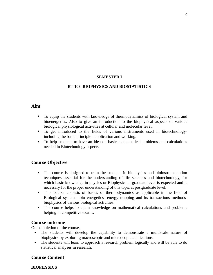#### **SEMESTER I**

#### **BT 103 BIOPHYSICS AND BIOSTATISTICS**

### **Aim**

- To equip the students with knowledge of thermodynamics of biological system and bioenergetics. Also to give an introduction to the biophysical aspects of various biological physiological activities at cellular and molecular level.
- To get introduced to the fields of various instruments used in biotechnologyincluding the basic principle - application and working.
- To help students to have an idea on basic mathematical problems and calculations needed in Biotechnology aspects

### **Course Objective**

- The course is designed to train the students in biophysics and bioinstrumentation techniques essential for the understanding of life sciences and biotechnology, for which basic knowledge in physics or Biophysics at graduate level is expected and is necessary for the proper understanding of this topic at postgraduate level.
- This course consists of basics of thermodynamics as applicable in the field of Biological systems- bio energetics- energy trapping and its transactions methodsbiophysics of various biological activities.
- The course helps to attain knowledge on mathematical calculations and problems helping in competitive exams.

### **Course outcome**

On completion of the course,

- The students will develop the capability to demonstrate a multiscale nature of biophysics by exploring macroscopic and microscopic applications.
- The students will learn to approach a research problem logically and will be able to do statistical analyses in research.

### **Course Content**

#### **BIOPHYSICS**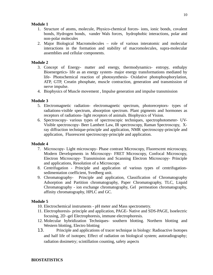#### **Module 1**

- 1. Structure of atoms, molecule, Physico-chemical forces- ions, ionic bonds, covalent bonds, Hydrogen bonds, vander Wals forces, hydrophobic interactions, polar and non-polar molecules
- 2. Major Biological Macromolecules role of various interatomic and molecular interactions in the formation and stability of macromolecules, supra-molecular assemblies and cellular components.

### **Module 2**

- 3. Concept of Energy- matter and energy, thermodynamics- entropy, enthalpy Bioenergetics- life as an energy system- major energy transformations mediated by life- Photochemical reaction of photosynthesis- Oxidative photophosphorylation, ATP, GTP, Creatin phosphate, muscle contraction, generation and transmission of nerve impulse.
- 4. Biophysics of Muscle movement , Impulse generation and impulse transmission

### **Module 3**

- 5. Electromagnetic radiation- electromagnetic spectrum, photoreceptors- types of radiations-visible spectrum, absorption spectrum. Plant pigments and hormones as receptors of radiations- light receptors of animals. Biophysics of Vision.
- 6. Spectroscopy- various types of spectroscopic techniques, spectrophotometer- UV-Visible spectroscopy- Beer Lambert Law, IR spectroscopy, Raman Spectroscopy, Xray diffraction technique-principle and application, NMR spectroscopy-principle and application, Fluorescent spectroscopy-principle and application.

### **Module 4**

- 7. Microscopy- Light microscopy- Phase contrast Microscopy, Fluorescent microscopy, Modern Developments in Microscopy- FRET Microscopy, Confocal Microscopy, Electron Microscopy- Transmission and Scanning Electron Microscopy- Principle and applications, Resolution of a Microscope.
- 8. Centrifugation Principle and application of various types of centrifugationsedimentation coefficient, Svedberg unit.
- 9. Chromatography- Principle and application, Classification of Chromatography Adsorption and Partition chromatography, Paper Chromatography, TLC, Liquid Chromatography - ion exchange chromatography, Gel permeation chromatography, affinity chromatography, HPLC and GC.

### **Module 5**

- 10. Electrochemical instruments pH meter and Mass spectrometry.
- 11. Electrophoresis- principle and application, PAGE- Native and SDS-PAGE, Isoelectric focusing, 2D -gel Electrophoresis, immune electrophoresis.
- 12. Molecular hybridization Techniques- southern blotting. Northern blotting and Western blotting, Electro blotting
- 13. Principle and applications of tracer technique in biology: Radioactive Isotopes and half life of isotopes; Effect of radiation on biological system; autoradiography; radiation dosimetry; scintillation counting, safety aspects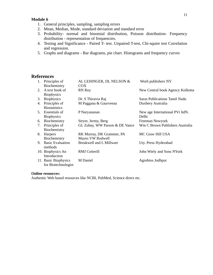#### **Module 6**

- 1. General principles, sampling, sampling errors
- 2. Mean, Median, Mode, standard deviation and standard error
- 3. Probability- normal and binomial distribution, Poisson distribution- Frequency distribution - representation of frequencies.
- 4. Testing and Significance Paired T- test. Unpaired T-test, Chi-squire test Correlation and regression.
- 5. Graphs and diagrams Bar diagrams, pie chart. Histograms and frequency curves

### **References**

| 1. | Principles of           | AL LEHINGER, DL NELSON &        | Worh publishers NY               |
|----|-------------------------|---------------------------------|----------------------------------|
|    | Biochemistry            | COX                             |                                  |
|    | 2. A text book of       | <b>RN Roy</b>                   | New Central book Agency Kolkotta |
|    | <b>Biophysics</b>       |                                 |                                  |
| 3. | <b>Biophysics</b>       | Dr. S Thiravia Raj              | Saras Publications Tamil Nadu    |
| 4. | Principles of           | M Paggana & Gaurveeau           | Duxbery Australia                |
|    | <b>Biostatistics</b>    |                                 |                                  |
|    | 5. Essentials of        | P Naryananan                    | New age International PVt ltdN.  |
|    | <b>Biophysics</b>       |                                 | Delhi                            |
| 6. | Biochemistry            | Stryer, Jermy, Berg             | Freeman Newyork                  |
| 7. | Principles of           | GL Zubay, WW Parson & DE Vance  | Wm C Brown Publishers Australia  |
|    | Biochemistry            |                                 |                                  |
| 8. | Harpers                 | RK Murray, DK Grammer, PA       | MC Graw Hill USA                 |
|    | Biochemistry            | Mayes VW Rodwell                |                                  |
| 9. | <b>Basic Evaluation</b> | <b>Breakwell and L Millwart</b> | Uty. Press Hyderabad             |
|    | methods                 |                                 |                                  |
|    | 10. Biophysics An       | <b>RMJ</b> Cotterill            | John Wiely and Sons NYork        |
|    | Introduction            |                                 |                                  |
|    | 11. Basic Biophysics    | M Daniel                        | Agrobios Jodhpur                 |
|    | for Biotechnologist     |                                 |                                  |

#### **Online resources:**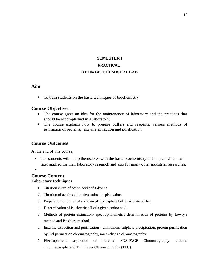# **SEMESTER I PRACTICAL BT 104 BIOCHEMISTRY LAB**

### **Aim**

To train students on the basic techniques of biochemistry

### **Course Objectives**

- The course gives an idea for the maintenance of laboratory and the practices that should be accomplished in a laboratory.
- The course explains how to prepare buffers and reagents, various methods of estimation of proteins, enzyme extraction and purification

### **Course Outcomes**

At the end of this course,

- The students will equip themselves with the basic biochemistry techniques which can later applied for their laboratory research and also for many other industrial researches.
- $\bullet$

### **Course Content Laboratory techniques**

- 1. Titration curve of acetic acid and Glycine
- 2. Titration of acetic acid to determine the pKa value.
- 3. Preparation of buffer of a known pH (phosphate buffer, acetate buffer)
- 4. Determination of isoelectric pH of a given amino acid.
- 5. Methods of protein estimation- spectrophotometric determination of proteins by Lowry's method and Bradford method.
- 6. Enzyme extraction and purification ammonium sulphate precipitation, protein purification by Gel permeation chromatography, ion exchange chromatography
- 7. Electrophoretic separation of proteins- SDS-PAGE Chromatography- column chromatography and Thin Layer Chromatography (TLC).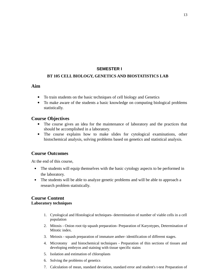#### **SEMESTER I**

#### **BT 105 CELL BIOLOGY, GENETICS AND BIOSTATISTICS LAB**

### **Aim**

- To train students on the basic techniques of cell biology and Genetics
- To make aware of the students a basic knowledge on computing biological problems statistically.

### **Course Objectives**

- The course gives an idea for the maintenance of laboratory and the practices that should be accomplished in a laboratory.
- The course explains how to make slides for cytological examinations, other histochemical analysis, solving problems based on genetics and statistical analysis.

# **Course Outcomes**

At the end of this course,

- The students will equip themselves with the basic cytology aspects to be performed in the laboratory.
- The students will be able to analyze genetic problems and will be able to approach a research problem statistically.

### **Course Content Laboratory techniques**

- 1. Cytological and Histological techniques- determination of number of viable cells in a cell population
- 2. Mitosis Onion root tip squash preparation- Preparation of Karyotypes, Determination of Mitotic index.
- 3. Meiosis squash preparation of immature anther- identification of different stages.
- 4. Microtomy and histochemical techniques Preparation of thin sections of tissues and developing embryos and staining with tissue specific stains
- 5. Isolation and estimation of chloroplasts
- 6. Solving the problems of genetics
- 7. Calculation of mean, standard deviation, standard error and student's t-test Preparation of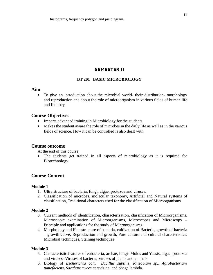### **SEMESTER II**

#### **BT 201 BASIC MICROBIOLOGY**

#### **Aim**

 To give an introduction about the microbial world- their distribution- morphology and reproduction and about the role of microorganism in various fields of human life and Industry.

### **Course Objectives**

- Imparts advanced training in Microbiology for the students
- Makes the student aware the role of microbes in the daily life as well as in the various fields of science. How it can be controlled is also dealt with.

#### **Course outcome**

At the end of this course,

 The students get trained in all aspects of microbiology as it is required for Biotechnology.

### **Course Content**

#### **Module 1**

- 1. Ultra structure of bacteria, fungi, algae, protozoa and viruses.
- 2. Classification of microbes, molecular taxonomy, Artificial and Natural systems of classification, Traditional characters used for the classification of Microorganisms.

#### **Module 2**

- 3. Current methods of identification, characterization, classification of Microorganisms. Microscopic examination of Microorganisms, Microscopes and Microscopy – Principle and applications for the study of Microorganisms.
- 4. Morphology and Fine structure of bacteria, cultivation of Bacteria, growth of bacteria – growth curve, Reproduction and growth, Pure culture and cultural characteristics. Microbial techniques, Staining techniques

#### **Module 3**

- 5. Characteristic features of eubacteria, archae, fungi- Molds and Yeasts, algae, protozoa and viruses- Viruses of bacteria, Viruses of plants and animals.
- 6. Biology of *Escherichia coli, Bacillus subtilis, Rhizobium sp., Agrobacterium tumefaciens, Saccharomyces cerevisiae,* and phage lambda.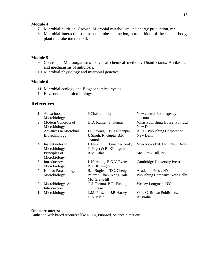#### **Module 4**

- 7. Microbial nutrition. Growth, Microbial metabolism and energy production, mr
- 8. Microbial interaction (human microbe interaction, normal biota of the human body, plant microbe interaction).

#### **Module 5**

- 9. Control of Microorganisms- Physical chemical methods, Disinfectants, Antibiotics and mechanisms of antibiosis.
- 10. Microbial physiology and microbial genetics.

#### **Module 6**

- 11. Microbial ecology and Biogeochemical cycles
- 12. Environmental microbiology

### **References**

| 1. | A text book of               | P Chakraborthy                      | New central Book agency           |
|----|------------------------------|-------------------------------------|-----------------------------------|
|    | Microbiology                 |                                     | culcutta                          |
| 2. | <b>Modern Concepts of</b>    | H.D. Kumar, S. Kumar                | Vikas Publishing House, Pvt. Ltd. |
|    | Microbiology                 |                                     | New Delhi                         |
| 3. | <b>Advances in Microbial</b> | J.P. Tewari, T.N. Lakhanpal,        | A.P.H. Publishing Corporation,    |
|    | Biotechnology                | J. Singh, R. Gupta, B.P.<br>chamola | New Delhi                         |
| 4. | Instant notes in             | J. Nicklin, K. Graeme-cook,         | Viva books Pvt. Ltd., New Delhi   |
|    | Microbiology                 | T. Paget & R. Killington            |                                   |
|    | 5. Principles of             | R.M. Atlas                          | Mc Giraw Hill, NY                 |
|    | Microbiology                 |                                     |                                   |
| 6. | Introductory                 | J. Heritage, E.G.V. Evans,          | <b>Cambridge University Press</b> |
|    | Microbiology                 | R.A. Killington                     |                                   |
| 7. | <b>Human Parasitology</b>    | B.J. Bogitsh, T.C. Cheng            | Academic Press, NY                |
| 8. | Microbiology                 | Pelczar, Chan, Krieg, Tala          | Publishing Company, New Delhi     |
|    |                              | Mc. GrawHill                        |                                   |
| 9. | Microbiology-An              | G.J. Tortora, B.R. Funke,           | Wesley Longman, NY                |
|    | Introduction                 | C.L. Case                           |                                   |
|    | 10. Microbiology             | L.M. Prescott, J.P. Harley,         | Wm. C. Brown Publishers,          |
|    |                              | D.A. Klein.                         | Australia                         |

#### **Online resources:**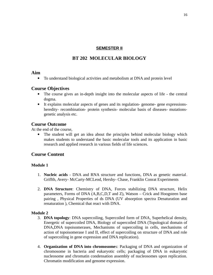### **SEMESTER II**

# **BT 202 MOLECULAR BIOLOGY**

#### **Aim**

To understand biological activities and metabolism at DNA and protein level

### **Course Objectives**

- The course gives an in-depth insight into the molecular aspects of life the central dogma.
- It explains molecular aspects of genes and its regulation- genome- gene expressionsheredity- recombination- protein synthesis- molecular basis of diseases- mutationsgenetic analysis etc.

### **Course Outcome**

At the end of the course,

 The student will get an idea about the principles behind molecular biology which makes students to understand the basic molecular tools and its application in basic research and applied research in various fields of life sciences.

### **Course Content**

### **Module 1**

- 1. **Nucleic acids** DNA and RNA structure and functions, DNA as genetic material. Griffth, Avery- McCarty-MCLeod, Hershy- Chase, Franklin Conrat Experiments
- 2. **DNA Structure**: Chemistry of DNA, Forces stabilizing DNA structure, Helix parameters, Forms of DNA (A,B,C,D,T and Z), Watson – Crick and Hoogsteen base pairing , Physical Properties of ds DNA (UV absorption spectra Denaturation and renaturation ), Chemical that react with DNA.

#### **Module 2**

- 3. **DNA topology**: DNA supercoiling, Supercoiled form of DNA, Superhelical density, Energetic of supercoiled DNA, Biology of supercoiled DNA (Topological domain of DNA,DNA topoisomerases, Mechanisms of supercoiling in cells, mechanisms of action of topoisomerase I and II, effect of supercoiling on structure of DNA and role of supercoiling in gene expression and DNA replication).
- 4. **Organization of DNA into chromosome**s: Packaging of DNA and organization of chromosome in bacteria and eukaryotic cells; packaging of DNA in eukaryotic nucleosome and chromatin condensation assembly of nucleosomes upon replication. Chromatin modification and genome expression.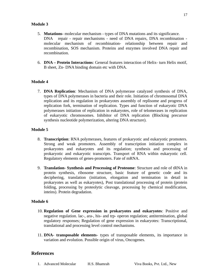#### **Module 3**

- 5. **Mutations-** molecular mechanism types of DNA mutations and its significance. DNA repair - repair mechanisms - need of DNA repairs, DNA recombination molecular mechanism of recombination- relationship between repair and recombination, SOS mechanism. Proteins and enzymes involved DNA repair and recombination.
- 6. **DNA Protein Interactions**: General features interaction of Helix- turn Helix motif, B sheet, Zn- DNA binding domain etc with DNA.

#### **Module 4**

7. **DNA Replication**: Mechanism of DNA polymerase catalyzed synthesis of DNA, types of DNA polymerases in bacteria and their role. Initiation of chromosomal DNA replication and its regulation in prokaryotes assembly of replisome and progress of replication fork, termination of replication. Types and function of eukaryotic DNA polymerases initiation of replication in eukaryotes, role of telomerases in replication of eukaryotic chromosomes. Inhibitor of DNA replication (Blocking precursor synthesis nucleotide polymerization, altering DNA structure).

#### **Module 5**

- 8. **Transcription**: RNA polymerases, features of prokaryotic and eukaryotic promoters. Strong and weak promoters. Assembly of transcription initiation complex in prokaryotes and eukaryotes and its regulation; synthesis and processing of prokaryotic and eukaryotic transcripts. Transport of RNA within eukaryotic cell. Regulatory elements of genes-promoters. Fate of mRNA.
- 9. **Translation- Synthesis and Processing of Proteome**: Structure and role of tRNA in protein synthesis, ribosome structure, basic feature of genetic code and its deciphering, translation (initiation, elongation and termination in detail in prokaryotes as well as eukaryotes), Post translational processing of protein (protein folding, processing by proteolytic cleavage, processing by chemical modification, inteins). Protein degradation.

#### **Module 6**

- 10. **Regulation of Gene expression in prokaryotes and eukaryotes**: Positive and negative regulation. lac-, ara-, his- and trp- operon regulation; antitermination, global regulatory responses; Regulation of gene expression in eukaryotes: Transcriptional, translational and processing level control mechanisms.
- 11. **DNA- transposable elements** types of transposable elements, its importance in variation and evolution. Possible origin of virus, Oncogenes.

#### **References**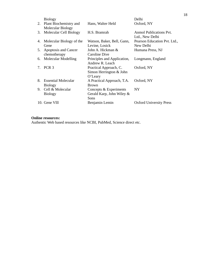|    | <b>Biology</b>             |                             | Delhi                          |
|----|----------------------------|-----------------------------|--------------------------------|
|    | 2. Plant Biochemistry and  | Hans, Walter Held           | Oxford, NY                     |
|    | Molecular Biology          |                             |                                |
| 3. | Molecular Cell Biology     | H.S. Bramrah                | Anmol Publications Pvt.        |
|    |                            |                             | Ltd., New Delhi                |
| 4. | Molecular Biology of the   | Watson, Baker, Bell, Gann,  | Pearson Education Pvt. Ltd.,   |
|    | Gene                       | Levine, Losick              | New Delhi                      |
| 5. | Apoptosis and Cancer       | John A. Hickman &           | Humana Press, NJ               |
|    | chemotherapy               | Caroline Dive               |                                |
| 6. | <b>Molecular Modelling</b> | Principles and Application, | Longmann, England              |
|    |                            | Andrew R. Leach             |                                |
| 7. | PCR <sub>3</sub>           | Practical Approach, C.      | Oxford, NY                     |
|    |                            | Simon Herrington & John     |                                |
|    |                            | O'Leary                     |                                |
| 8. | <b>Essential Molecular</b> | A Practical Approach, T.A.  | Oxford, NY                     |
|    | <b>Biology</b>             | <b>Brown</b>                |                                |
| 9. | Cell & Molecular           | Concepts & Experiments      | <b>NY</b>                      |
|    | <b>Biology</b>             | Gerald Karp, John Wiley &   |                                |
|    |                            | Sons                        |                                |
|    | 10. Gene VIII              | Benjamin Lemin              | <b>Oxford University Press</b> |

#### **Online resources:**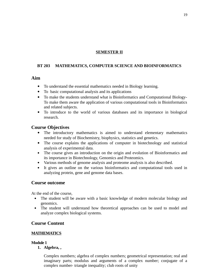#### **SEMESTER II**

### **BT 203 MATHEMATICS, COMPUTER SCIENCE AND BIOINFORMATICS**

### **Aim**

- To understand the essential mathematics needed in Biology learning.
- To basic computational analysis and its applications
- To make the students understand what is Bioinformatics and Computational Biology-To make them aware the application of various computational tools in Bioinformatics and related subjects.
- To introduce to the world of various databases and its importance in biological research.

### **Course Objectives**

- The introductory mathematics is aimed to understand elementary mathematics needed for study of Biochemistry, biophysics, statistics and genetics.
- The course explains the applications of computer in biotechnology and statistical analysis of experimental data.
- The course gives an introduction on the origin and evolution of Bioinformatics and its importance in Biotechnology, Genomics and Proteomics.
- Various methods of genome analysis and proteome analysis is also described.
- It gives an outline on the various bioinformatics and computational tools used in analyzing protein, gene and genome data bases.

### **Course outcome**

At the end of the course,

- The student will be aware with a basic knowledge of modern molecular biology and genomics.
- The student will understand how theoretical approaches can be used to model and analyze complex biological systems.

### **Course Content**

### **MATHEMATICS**

#### **Module 1**

**1. Algebra, ,** 

Complex numbers; algebra of complex numbers; geometrical representation; real and imaginary parts; modulus and arguments of a complex number; conjugate of a complex number- triangle inequality; club roots of unity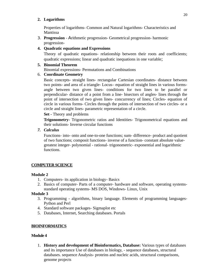### **2. Logarithms**

Properties of logarithms- Common and Natural logarithms- Characteristics and Mantissa

3. **Progression** - Arithmetic progression- Geometrical progression- harmonic progression-

### **4. Quadratic equations and Expressions**

Theory of quadratic equations- relationship between their roots and coefficients; quadratic expressions; linear and quadratic inequations in one variable;

### **5. Binomial Theorem**

Binomial expressions- Permutations and Combinations

# 6. **Coordinate Geometry**

Basic concepts- straight lines- rectangular Cartesian coordinates- distance between two points- and area of a triangle- Locus– equation of straight lines in various formsangle between two given lines- conditions for two lines to be parallel or perpendicular- distance of a point from a line- bisectors of angles- lines through the point of intersection of two given lines- concurrency of lines; Circles- equation of circle in various forms- Circles through the points of intersection of two circles- or a circle and straight lines- parametric representation of a circle.

### **Set -** Theory and problems

**Trigonometry-** Trigonometric ratios and Identities- Trigonometrical equations and their solutions- Inverse circular functions

*7. Calculus*

Functions- into- onto and one-to-one functions; sum- difference- product and quotient of two functions; composit functions- inverse of a function- constant absolute valuegreatest integer- polynomial - rational- trigonometric- exponential and logarithmic functions.

# **COMPUTER SCIENCE**

# **Module 2**

- 1. Computers- its application in biology- Basics
- 2. Basics of computer- Parts of a computer- hardware and software, operating systemsstandard operating systems- MS DOS, Windows- Linux, Unix

# **Module 3**

- 3. Programming algorithms, binary language. Elements of programming languages-Python and Perl
- 4. Standard software packages- Sigmaplot etc
- 5. Databases, Internet, Searching databases. Portals

# **BIOINFORMATICS**

### **Module 4**

1. **History and development of Bioinformatics, Database:** Various types of databases and its importance Use of databases in biology, - sequence databases, structural databases. sequence Analysis- proteins and nucleic acids, structural comparisons, genome projects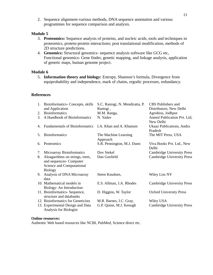2. Sequence alignment-various methods, DNA sequence annotation and various programmes for sequence comparison and analysis.

#### **Module 5**

- 3. **Proteomics:** Sequence analysis of proteins, and nucleic acids, tools and techniques in proteomics, protein-protein interactions; post translational modification, methods of 2D structure predictions.
- 4. **Genomics:** Structural genomics- sequence analysis software like GCG etc, Functional genomics- Gene finder, genetic mapping, and linkage analysis, application of genetic maps, human genome project.

#### **Module 6**

5. **Information theory and biology:** Entropy, Shannon's formula, Divergence from equiprobability and independence, mark of chains, ergodic processes, redundancy.

#### **References**

| 1. | Bioinformatics- Concepts, skills      | S.C. Rastogi, N. Mendiratta, P. | CBS Publishers and                   |
|----|---------------------------------------|---------------------------------|--------------------------------------|
|    | and Application                       | Rastogi,                        | Distributors, New Delhi              |
| 2. | <b>Bioinformatics</b>                 | M.M. Ranga,                     | Agrobios, Jodhpur                    |
| 3. | A Handbook of Bioinformatics          | N. Yadav                        | Anmol Publication Pvt. Ltd,          |
|    |                                       |                                 | New Delhi                            |
| 4. | <b>Fundamentals of Bioinformatics</b> | I.A. Khan and A. Khanum         | Ukaaz Publications, Andra<br>Pradesh |
| 5. | <b>Bioinformatics</b>                 | The Machine Learning            | The MIT Press, USA                   |
|    |                                       | Approach                        |                                      |
| 6. | Proteomics                            | S.R. Pennington, M.J. Dunn      | Viva Books Pvt. Ltd., New            |
|    |                                       |                                 | Delhi                                |
| 7. | <b>Microarray Bioinformatics</b>      | Dov Stekel                      | <b>Cambridge University Press</b>    |
| 8. | Aloagarithms on strings, trees,       | Dan Gusfield                    | <b>Cambridge University Press</b>    |
|    | and sequences- Computer               |                                 |                                      |
|    | <b>Science and Computational</b>      |                                 |                                      |
|    | <b>Biology</b>                        |                                 |                                      |
| 9. | Analysis of DNA Microarray            | Steen Knudsen,                  | Wiley Liss NY                        |
|    | data                                  |                                 |                                      |
|    | 10. Mathematical models in            | E.S. Allman, J.A. Rhodes        | <b>Cambridge University Press</b>    |
|    |                                       |                                 |                                      |
|    | Biology-An Introduction               |                                 |                                      |
|    | 11. Bioinformatics- Sequence,         | D. Higgins, W. Taylor           | <b>Oxford University Press</b>       |
|    | structure and databanks               |                                 |                                      |
|    | 12. Bioinformatics for Geneticists    | M.R. Barnes, I.C. Gray,         | Wiley USA                            |
|    | 13. Experimental Design and Data      | G.P. Quinn, M.J. Keough         | <b>Cambridge University Press</b>    |
|    | Analysis for Biologist                |                                 |                                      |

#### **Online resources:**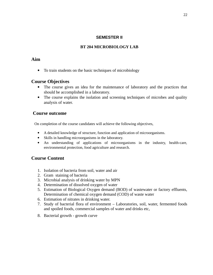#### **SEMESTER II**

### **BT 204 MICROBIOLOGY LAB**

### **Aim**

To train students on the basic techniques of microbiology

### **Course Objectives**

- The course gives an idea for the maintenance of laboratory and the practices that should be accomplished in a laboratory.
- The course explains the isolation and screening techniques of microbes and quality analysis of water.

# **Course outcome**

On completion of the course candidates will achieve the following objectives,

- A detailed knowledge of structure, function and application of microorganisms.
- Skills in handling microorganisms in the laboratory.
- An understanding of applications of microorganisms in the industry, health-care, environmental protection, food agriculture and research.

# **Course Content**

- 1. Isolation of bacteria from soil, water and air
- 2. Gram staining of bacteria
- 3. Microbial analysis of drinking water by MPN
- 4. Determination of dissolved oxygen of water
- 5. Estimation of Biological Oxygen demand (BOD) of wastewater or factory effluents, Determination of chemical oxygen demand (COD) of waste water
- 6. Estimation of nitrates in drinking water.
- 7. Study of bacterial flora of environment Laboratories, soil, water, fermented foods and spoiled foods, commercial samples of water and drinks etc,
- 8. Bacterial growth growth curve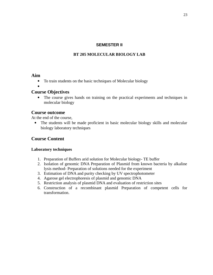#### **SEMESTER II**

#### **BT 205 MOLECULAR BIOLOGY LAB**

#### **Aim**

- To train students on the basic techniques of Molecular biology
- $\bullet$

### **Course Objectives**

 The course gives hands on training on the practical experiments and techniques in molecular biology

#### **Course outcome**

At the end of the course,

 The students will be made proficient in basic molecular biology skills and molecular biology laboratory techniques

### **Course Content**

#### **Laboratory techniques**

- 1. Preparation of Buffers arid solution for Molecular biology- TE buffer
- 2. Isolation of genomic DNA Preparation of Plasmid from known bacteria by alkaline lysis method- Preparation of solutions needed for the experiment
- 3. Estimation of DNA and purity checking by UV spectrophotometer
- 4. Agarose gel electrophoresis of plasmid and genomic DNA
- 5. Restriction analysis of plasmid DNA and evaluation of restriction sites
- 6. Construction of a recombinant plasmid Preparation of competent cells for transformation.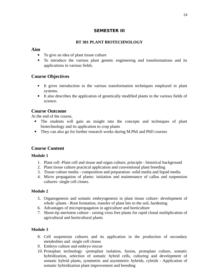### **SEMESTER III**

### **BT 301 PLANT BIOTECHNOLOGY**

### **Aim**

- To give an idea of plant tissue culture
- To introduce the various plant genetic engineering and transformations and its applications in various fields.

# **Course Objectives**

- It gives introduction to the various transformation techniques employed in plant systems.
- It also describes the application of genetically modified plants in the various fields of science.

# **Course Outcome**

At the end of the course,

- The students will gain an insight into the concepts and techniques of plant biotechnology and its application to crop plants
- They can also go for further research works during M.Phil and PhD courses

# **Course Content**

### **Module 1**

- 1. Plant cell -Plant cell and tissue and organ culture, principle historical background
- 2. Plant tissue culture practical application and conventional plant breeding
- 3. Tissue culture media composition and preparation- solid media and liquid media
- 4. Micro propagation of plants- initiation and maintenance of callus and suspension cultures- single cell clones.

### **Module 2**

- 5. Organogenesis and somatic embryogenesis in plant tissue culture- development of whole -plants - Root formation, transfer of plant lets to the soil, hardening
- 6. Advantages of micropropagation in agriculture and horticulture
- 7. Shoot-tip meristem culture raising virus free plants for rapid clonal multiplication of agricultural and horticultural plants

### **Module 3**

- 8. Cell suspension cultures and its application in the production of secondary metabolites and single cell clones
- 9. Embryo culture and embryo rescue
- 10. Protoplast technology -protoplast isolation, fusion, protoplast culture, somatic hybridization, selection of somatic hybrid cells, culturing and development of somatic hybrid plants, symmetric and asymmetric hybrids, cybrids - Application of somatic hybridization plant improvement and breeding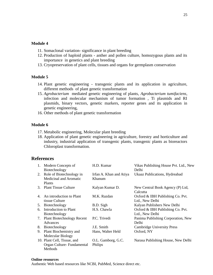#### **Module 4**

- 11. Somaclonal variation- significance in plant breeding
- 12. Production of haploid plants anther and pollen culture, homozygous plants and its importance in genetics and plant breeding
- 13. Cryopreservation of plant cells, tissues and organs for germplasm conservation

#### **Module 5**

- 14. Plant genetic engineering transgenic plants and its application in agriculture, different methods of plant genetic transformation
- 15. *Agrobacterium* mediated genetic engineering of plants, *Agrobacterium tumifaciens*, infection and molecular mechanism of tumor formation , Ti plasmids and RI plasmids, binary vectors, genetic markers, reporter genes and its application in genetic engineering,
- 16. Other methods of plant genetic transformation

#### **Module 6**

- 17. Metabolic engineering, Molecular plant breeding
- 18. Application of plant genetic engineering in agriculture, forestry and horticulture and industry, industrial application of transgenic plants, transgenic plants as bioreactors Chloroplast transformation.

#### **References**

| 1. | Modern Concepts of<br>Biotechnology                          | H.D. Kumar                        | Vikas Publishing House Pvt. Ltd., New<br>Delhi      |
|----|--------------------------------------------------------------|-----------------------------------|-----------------------------------------------------|
|    | 2. Role of Biotechnology in<br><b>Medicinal and Aromatic</b> | Irfan A. Khan and Atiya<br>Khanum | Ukaaz Publications, Hydreabad                       |
| 3. | Plants<br><b>Plant Tissue Culture</b>                        | Kalyan Kumar D.                   | New Central Book Agency (P) Ltd,<br>Calcutta        |
| 4. | An introduction to Plant<br>tissue Culture                   | M.K. Razdan                       | Oxford & IBH Publishing Co. Pvt.<br>Ltd., New Delhi |
| 5. | Biotechnology                                                | B.D. Sigh                         | Kalyan Publishers New Delhi                         |
| 6. | <b>Introduction to Plant</b><br>Biotechnology                | H.S. Chawla                       | Oxford & IBH Publishing Co. Pvt.<br>Ltd., New Delhi |
|    | 7. Plant Biotechnology Recent<br>Advances                    | P.C. Trivedi                      | Panima Publishing Corporation, New<br>Delhi         |
| 8. | Biotechnology                                                | J.E. Smith                        | <b>Cambridge University Press</b>                   |
| 9. | Plant Biochemistry and                                       | Hans, Walter Held                 | Oxford, NY                                          |
|    | <b>Molecular Biology</b>                                     |                                   |                                                     |
|    | 10. Plant Cell, Tissue, and                                  | O.L. Gamborg, G.C.                | Narasa Publishing House, New Delhi                  |
|    | Organ Culture-Fundamental                                    | Philips                           |                                                     |
|    | Methods                                                      |                                   |                                                     |

#### **Online resources**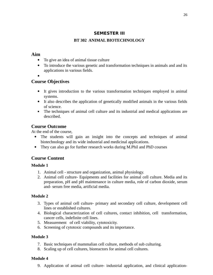# **SEMESTER III**

# **BT 302 ANIMAL BIOTECHNOLOGY**

# **Aim**

- To give an idea of animal tissue culture
- To introduce the various genetic and transformation techniques in animals and and its applications in various fields.
- $\bullet$

# **Course Objectives**

- It gives introduction to the various transformation techniques employed in animal systems.
- It also describes the application of genetically modified animals in the various fields of science.
- The techniques of animal cell culture and its industrial and medical applications are described.

# **Course Outcome**

At the end of the course,

- The students will gain an insight into the concepts and techniques of animal biotechnology and its wide industrial and medicinal applications.
- They can also go for further research works during M.Phil and PhD courses

# **Course Content**

### **Module 1**

- 1. Animal cell structure and organization, animal physiology.
- 2. Animal cell culture- Equipments and facilities for animal cell culture. Media and its preparation, pH and pH maintenance in culture media, role of carbon dioxide, serum and- serum free media, artificial media.

### **Module 2**

- 3. Types of animal cell culture- primary and secondary cell culture, development cell lines or established cultures.
- 4. Biological characterization of cell cultures, contact inhibition, cell transformation, cancer cells, indefinite cell lines.
- 5. Measurement of cell viability, cytotoxicity.
- 6. Screening of cytotoxic compounds and its importance.

### **Module 3**

- 7. Basic techniques of mammalian cell culture, methods of sub culturing.
- 8. Scaling up of cell cultures, bioreactors for animal cell cultures.

### **Module 4**

9. Application of animal cell culture- industrial application, and clinical application-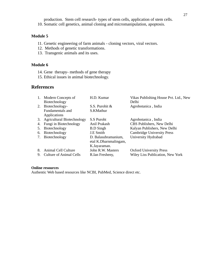production. Stem cell research- types of stem cells, application of stem cells.

10. Somatic cell genetics, animal cloning and micromanipulation, apoptosis.

#### **Module 5**

- 11. Genetic engineering of farm animals cloning vectors, viral vectors.
- 12. Methods of genetic transformations.
- 13. Transgenic animals and its uses.

#### **Module 6**

- 14. Gene therapy- methods of gene therapy
- 15. Ethical issues in animal biotechnology.

# **References**

| 1. | <b>Modern Concepts of</b>         | H.D. Kumar            | Vikas Publishing House Pvt. Ltd., New   |
|----|-----------------------------------|-----------------------|-----------------------------------------|
|    | Biotechnology                     |                       | Delhi                                   |
| 2. | Biotechnology-                    | S.S. Purohit &        | Agrobotanica, India                     |
|    | Fundamentals and                  | S.KMathur             |                                         |
|    | <b>Applications</b>               |                       |                                         |
| 3. | <b>Agricultural Biotechnology</b> | S.S Puroht            | Agrobotanica, India                     |
| 4. | Fungi in Biotechnology            | Anil Prakash          | CBS Publishers, New Delhi               |
| 5. | Biotechnology                     | <b>B.D</b> Singh      | Kalyan Publishers, New Delhi            |
| 6. | Biotechnology                     | <b>J.E</b> Smith      | <b>Cambridge University Press</b>       |
| 7. | Biotechnology                     | D. Balasubramanium,   | University Hydrabad                     |
|    |                                   | etal K.Dharnmalingam, |                                         |
|    |                                   | K.Jayaraman.          |                                         |
| 8. | Animal Cell Culture               | John R.W. Masters     | <b>Oxford University Press</b>          |
| 9. | Culture of Animal Cells           | R.Ian Fresheny,       | <b>Wiley Liss Publication, New York</b> |

#### **Online resources**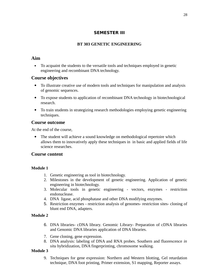# **SEMESTER III**

### **BT 303 GENETIC ENGINEERING**

### **Aim**

 To acquaint the students to the versatile tools and techniques employed in genetic engineering and recombinant DNA technology.

### **Course objectives**

- To illustrate creative use of modern tools and techniques for manipulation and analysis of genomic sequences.
- To expose students to application of recombinant DNA technology in biotechnological research.
- To train students in strategizing research methodologies employing genetic engineering techniques.

### **Course outcome**

At the end of the course,

• The student will achieve a sound knowledge on methodological repertoire which allows them to innovatively apply these techniques in in basic and applied fields of life science researches.

### **Course content**

### **Module 1**

- 1. Genetic engineering as tool in biotechnology.
- 2. Milestones in the development of genetic engineering. Application of genetic engineering in biotechnology.
- 3. Molecular tools in genetic engineering vectors, enzymes restriction endonuclease.
- 4. DNA ligase, acid phosphatase and other DNA modifying enzymes.
- 5. Restriction enzymes restriction analysis of genomes- restriction sites- cloning of blunt end DNA, adapters.

### **Module 2**

- 6. DNA libraries- cDNA library. Genomic Library- Preparation of cDNA libraries and Genomic DNA libraries application of DNA libraries.
- 7. Gene cloning, gene expression.
- 8. DNA analysis: labeling of DNA and RNA probes. Southern and fluorescence *in situ* hybridization, DNA fingerprinting, chromosome walking.

### **Module 3**

9. Techniques for gene expression: Northern and Western blotting, Gel retardation technique, DNA foot printing, Primer extension, S1 mapping, Reporter assays.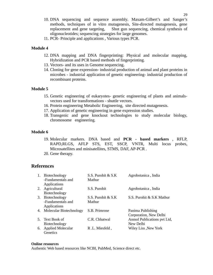- 10. DNA sequencing and sequence assembly. Maxam-Gilbert's and Sanger's methods, techniques of in vitro mutagenesis, Site-directed mutagenesis, gene replacement and gene targeting, Shot gun sequencing, chemical synthesis of oligonucleotides; sequencing strategies for large genomes.
- 11. PCR- Principle and applications , Various types PCR.

#### **Module 4**

- 12. DNA mapping and DNA fingerprinting: Physical and molecular mapping, Hybridization and PCR based methods of fingerprinting.
- 13. Vectors- and its uses in Genome sequencing.
- 14. Cloning for gene expression- industrial production of animal and plant proteins in microbes - industrial application of genetic engineering- industrial production of recombinant proteins.

#### **Module 5**

- 15. Genetic engineering of eukaryotes- genetic engineering of plants and animalsvectors used for transformations - shuttle vectors.
- 16. Protein engineering Metabolic Engineering, site directed mutagenesis.
- 17. Application of genetic engineering in gene expression studies.
- 18. Transgenic and gene knockout technologies to study molecular biology, chromosome engineering.

#### **Module 6**

- 19. Molecular markers. DNA based and **PCR based markers** , RFLP, RAPD,RLGS, AFLP STS, EST, SSCP, VNTR, Multi locus probes, Microsatellites and minisatellites, STMS, DAF, AP-PCR .
- 20. Gene therapy.

### **References**

| 1. | Biotechnology            | S.S. Purohit & S.K  | Agrobotanica, India         |
|----|--------------------------|---------------------|-----------------------------|
|    | -Fundamentals and        | Mathur              |                             |
|    | <b>Applications</b>      |                     |                             |
| 2. | Agricultural             | S.S. Purohit        | Agrobotanica, India         |
|    | Biotechnology            |                     |                             |
| 3. | Biotechnology            | S.S. Purohit & S.K. | S.S. Purohit & S.K Mathur   |
|    | -Fundamentals and        | Mathur              |                             |
|    | <b>Applications</b>      |                     |                             |
| 4. | Molecular Biotechnology  | S.B. Primrose       | Panima Publishing           |
|    |                          |                     | Corporation, New Delhi      |
| 5. | Text Book of             | C.R. Chhatwal       | Anmol Publications pvt Ltd, |
|    | Biotechnology            |                     | New Delhi                   |
| 6. | <b>Applied Molecular</b> | R.L. Miesfeld,      | Wiley Liss , New York       |
|    | Genetics                 |                     |                             |

#### **Online resources**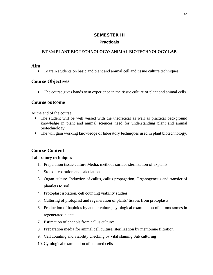### **SEMESTER III**

### **Practicals**

### **BT 304 PLANT BIOTECHNOLOGY/ ANIMAL BIOTECHNOLOGY LAB**

### **Aim**

To train students on basic and plant and animal cell and tissue culture techniques.

# **Course Objectives**

The course gives hands own experience in the tissue culture of plant and animal cells.

### **Course outcome**

At the end of the course,

- The student will be well versed with the theoretical as well as practical background knowledge in plant and animal sciences need for understanding plant and animal biotechnology.
- The will gain working knowledge of laboratory techniques used in plant biotechnology.

# **Course Content**

### **Laboratory techniques**

- 1. Preparation tissue culture Media, methods surface sterilization of explants
- 2. Stock preparation and calculations
- 3. Organ culture. Induction of callus, callus propagation, Organogenesis and transfer of plantlets to soil
- 4. Protoplast isolation, cell counting viability studies
- 5. Culturing of protoplast and regeneration of plants/ tissues from protoplasts
- 6. Production of haploids by anther culture, cytological examination of chromosomes in regenerated plants
- 7. Estimation of phenols from callus cultures
- 8. Preparation media for animal cell culture, sterilization by membrane filtration
- 9. Cell counting and viability checking by vital staining Sub culturing
- 10. Cytological examination of cultured cells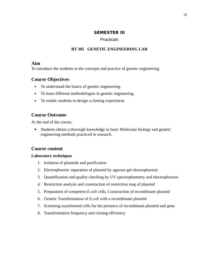### **SEMESTER III**

### **Practicals**

### **BT 305 GENETIC ENGINEERING LAB**

### **Aim**

To introduce the students to the concepts and practice of genetic engineering.

# **Course Objectives**

- To understand the basics of genetic engineering.
- To learn different methodologies in genetic engineering.
- To enable students to design a cloning experiment.

# **Course Outcome**

At the end of the course,

 Students obtain a thorough knowledge in basic Molecular biology and genetic engineering methods practiced in research.

# **Course content**

### **Laboratory techniques**

- 1. Isolation of plasmids and purification
- 2. Electrophoretic separation of plasmid by agarose gel electrophoresis
- 3. Quantification and quality checking by UV spectrophometry and electrophoresis
- 4. Restriction analysis and construction of restriction map of plasmid
- 5. Preparation of competent *E.coli* cells, Construction of recombinant plasmid
- 6. Genetic Transformation of *E.coli* with a recombinant plasmid
- 7. Screening transformed cells for the presence of recombinant plasmid and gene
- 8. Transformation frequency and cloning efficiency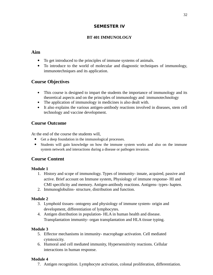# **SEMESTER IV**

### **BT 401 IMMUNOLOGY**

# **Aim**

- To get introduced to the principles of immune systems of animals.
- To introduce to the world of molecular and diagnostic techniques of immunology, immunotechniques and its application.

# **Course Objectives**

- This course is designed to impart the students the importance of immunology and its theoretical aspects and on the principles of immunology and immunotechnology
- The application of immunology in medicines is also dealt with.
- It also explains the various antigen-antibody reactions involved in diseases, stem cell technology and vaccine development.

# **Course Outcome**

At the end of the course the students will,

- Get a deep foundation in the immunological processes.
- Students will gain knowledge on how the immune system works and also on the immune system network and interactions during a disease or pathogen invasion.

# **Course Content**

### **Module 1**

- 1. History and scope of immunology. Types of immunity- innate, acquired, passive and active. Brief account on Immune system, Physiology of immune response- HI and CMI specificity and memory. Antigen-antibody reactions. Antigens- types- hapten.
- 2. Immunoglobulins- structure, distribution and function.

### **Module 2**

- 3. Lymphoid tissues- ontogeny and physiology of immune system- origin and development, differentiation of lymphocytes.
- 4. Antigen distribution in population- HLA in human health and disease. Transplantation immunity- organ transplantation and HLA tissue typing.

### **Module 3**

- 5. Effector mechanisms in immunity- macrophage activation. Cell mediated cytotoxicity.
- 6. Humoral and cell mediated immunity, Hypersensitivity reactions. Cellular interactions in human response.

### **Module 4**

7. Antigen recognition. Lymphocyte activation, colonal proliferation, differentiation.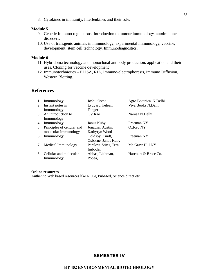8. Cytokines in immunity, Interleukines and their role.

#### **Module 5**

- 9. Genetic Immuno regulations. Introduction to tumour immunology, autoimmune disorders.
- 10. Use of transgenic animals in immunology, experimental immunology, vaccine, development, stem cell technology. Immunodiagnostics.

#### **Module 6**

- 11. Hybridoma technology and monoclonal antibody production, application and their uses. Cloning for vaccine development
- 12. Immunotechniques ELISA, RIA, Immuno-electrophoresis, Immuno Diffusion, Western Blotting.

### **References**

| 1. | Immunology                 | Joshi. Osma            | Agro Botanica N.Delhi |
|----|----------------------------|------------------------|-----------------------|
| 2. | Instant notes in           | Lydyard, helean,       | Viva Books N.Delhi    |
|    | Immunology                 | Fanger                 |                       |
|    | 3. An introduction to      | CV Rao                 | Narosa N.Delhi        |
|    | Immunology                 |                        |                       |
| 4. | Immunology                 | Janus Kuby             | Freeman NY            |
| 5. | Principles of cellular and | Jonathan Austin,       | Oxford NY             |
|    | molecular Immunology       | Kathyryn Wood          |                       |
| 6. | Immunology                 | Goldsby, Kindt,        | Freeman NY            |
|    |                            | Osborne, Janus Kuby    |                       |
| 7. | Medical Immunology         | Parslow, Stites, Tera, | Mc Graw Hill NY       |
|    |                            | Imboden                |                       |
| 8. | Cellular and molecular     | Abbas, Lichman,        | Harcourt & Brace Co.  |
|    | Immunology                 | Pobea.                 |                       |

#### **Online resources**

Authentic Web based resources like NCBI, PubMed, Science direct etc.

### **SEMESTER IV**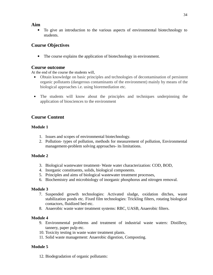### **Aim**

 To give an introduction to the various aspects of environmental biotechnology to students.

# **Course Objectives**

The course explains the application of biotechnology in environment.

### **Course outcome**

At the end of the course the students will,

- Obtain knowledge on basic principles and technologies of decontamination of persistent organic pollutants (dangerous contaminants of the environment) mainly by means of the biological approaches i.e. using bioremediation etc.
- The students will know about the principles and techniques underpinning the application of biosciences to the environment

# **Course Content**

### **Module 1**

- 1. Issues and scopes of environmental biotechnology.
- 2. Pollution- types of pollution, methods for measurement of pollution, Environmental management-problem solving approaches- its limitations.

### **Module 2**

- 3. Biological wastewater treatment- Waste water characterization: COD, BOD,
- 4. Inorganic constituents, solids, biological components.
- 5. Principles and aims of biological wastewater treatment processes,
- 6. Biochemistry and microbiology of inorganic phosphorus and nitrogen removal.

### **Module 3**

- 7. Suspended growth technologies: Activated sludge, oxidation ditches, waste stabilization ponds etc. Fixed film technologies: Trickling filters, rotating biological contactors, fluidized bed etc.
- 8. Anaerobic waste water treatment systems: RBC, UASB, Anaerobic filters.

### **Module 4**

- 9. Environmental problems and treatment of industrial waste waters: Distillery, tannery, paper pulp etc.
- 10. Toxicity testing in waste water treatment plants.
- 11. Solid waste management: Anaerobic digestion, Composting.

### **Module 5**

12. Biodegradation of organic pollutants: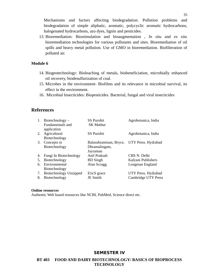Mechanisms and factors affecting biodegradation. Pollution problems and biodegradation of simple aliphatic, aromatic, polycyclic aromatic hydrocarbons, halogenated hydrocarbons, azo dyes, lignin and pesticides.

13. Bioremediation: Biostimulation and bioaugmentation , *In situ* and *ex situ* bioremediation technologies for various pollutants and sites. Bioremediation of oil spills and heavy metal pollution. Use of GMO in bioremediation. Biofilteration of polluted air.

#### **Module 6**

- 14. Biogeotechnology: Bioleaching of metals, biobeneficiation, microbially enhanced oil recovery, biodesulfurization of coal.
- 15. Microbes in the environment- Biofilms and its relevance in microbial survival, its effect in the environment.
- 16. Microbial Insecticides: Biopesticides. Bacterial, fungal and viral insecticides

### **References**

| 1.             | Biotechnology $-$<br>Fundamentals and                                     | <b>SS Purohit</b><br><b>SK Mathur</b>               | Agrobotanica, India                                   |
|----------------|---------------------------------------------------------------------------|-----------------------------------------------------|-------------------------------------------------------|
| 2.             | application<br>Agricultural<br>Biotechnology                              | <b>SS Purohit</b>                                   | Agrobotanica, India                                   |
| 3.             | Concepts in<br>Biotechnology                                              | Balasubraminan, Bryce,<br>Dhramalingam,<br>Jayraman | UTY Press. Hydrabad                                   |
| 4.<br>5.<br>6. | Fungi In Biotechnology<br>Biotechnology<br>Environmental<br>Biotechnology | Anil Praksah<br><b>BD</b> Singh<br>Alan Scragg      | CBS N. Delhi<br>Kalyani Publishers<br>Longman England |
| 7.<br>8.       | <b>Biotechnology Unzipped</b><br>Biotechnology                            | EricS grace<br>JE Smith                             | UTY Press. Hydrabad<br>Cambridge UTY Press            |

#### **Online resources**

Authentic Web based resources like NCBI, PubMed, Science direct etc.

### **SEMESTER IV**

**BT 403 FOOD AND DAIRY BIOTECHNOLOGY/ BASICS OF BIOPROCESS TECHNOLOGY**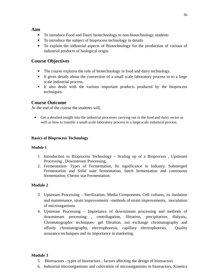### **Aim**

- To introduce Food and Dairy biotechnology to non-biotechnology students
- To introduce the subject of bioprocess technology in details
- To explain the industrial aspects of Biotechnology for the production of various of industrial products of biological origin.

# **Course Objectives**

- The course explains the role of biotechnology in food and dairy technology.
- It gives details about the conversion of a small scale laboratory process in to a large scale industrial process.
- It also deals with the various important products produced by the bioprocess techniques.

# **Course Outcome**

At the end of the course the students will,

 Get a detailed insight into the industrial processes carrying out in the food and dairy sector as well as how to transfer a small scale laboratory process to a large scale industrial process.

### **Basics of Bioprocess Technology**

### **Module 1**

- 1. Introduction to Bioprocess Technology Scaling up of a Bioprocess , Upstream Processing , Downstream Processing,
- 2. Fermentation- Types of Fermentation, Its significance in Industry, Submerged Fermentation and Solid state fermentation, batch fermentation and continuous fermentation, Chemo stat Fermentation.

### **Module 2**

- 3. Upstream Processing Sterilization, Media Components, Cell cultures, its iisolation and maintenance, strain improvements –methods of strain improvements, inoculation of microorganisms
- 4. Upstream Processing Importance of downstream processing and methods of downstream processing , centrifugation, filtration, precipitation, dialysis,, Chromatographic techniques- gel filtration, ion exchange chromatography and affinity chromatography, electrophoresis, capillary electrophoresis, Quality assurance techniques and its importance in marketing.

### **Module 3**

- 5. Bioreactors types of bioreactors , factors affecting the design of bioreactors
- 6. Industrial microorganisms and cultivation of microorganisms in bioreactors, Kinetics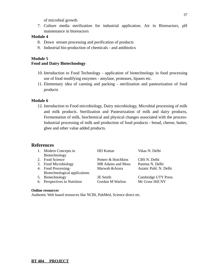of microbial growth.

7. Culture media sterilization for industrial application. Air in Bioreactors, pH maintenance in bioreactors

#### **Module 4**

- 8. Down stream processing and purification of products
- 9. Industrial bio-production of chemicals and antibiotics

### **Module 5**

### **Food and Dairy Biotechnology**

- 10. Introduction to Food Technology application of biotechnology in food processing use of food modifying enzymes - amylase, proteases, lipases etc.
- 11. Elementary idea of canning and packing sterilization and pasteurization of food products

#### **Module 6**

12. Introduction to Food microbiology, Dairy microbiology, Microbial processing of milk and milk products. Sterilization and Pasteurization of milk and dairy products, Fermentation of milk, biochemical and physical changes associated with the process-Industrial processing of milk and production of food products - bread, cheese, butter, ghee and other value added products.

### **References**

|    | Modern Concepts in            | HD Kumar            | Vikas N. Delhi             |
|----|-------------------------------|---------------------|----------------------------|
|    | Biotechnology                 |                     |                            |
| 2. | <b>Food Science</b>           | Potterr & Hotchkins | CBS N. Delhi               |
| З. | <b>Food Microbiology</b>      | MR Adams and Moss   | Panima N. Delhi            |
|    | 4. Food Processing-           | Marwah & Arora      | Asiatic Publ. N. Delhi     |
|    | Biotechnological applications |                     |                            |
| 5. | Biotechnology                 | JE Smith            | <b>Cambridge UTY Press</b> |
| 6. | Perspectives in Nutrition     | Gordon M Warlow     | Mc Graw Hill NY            |
|    |                               |                     |                            |

#### **Online resources**